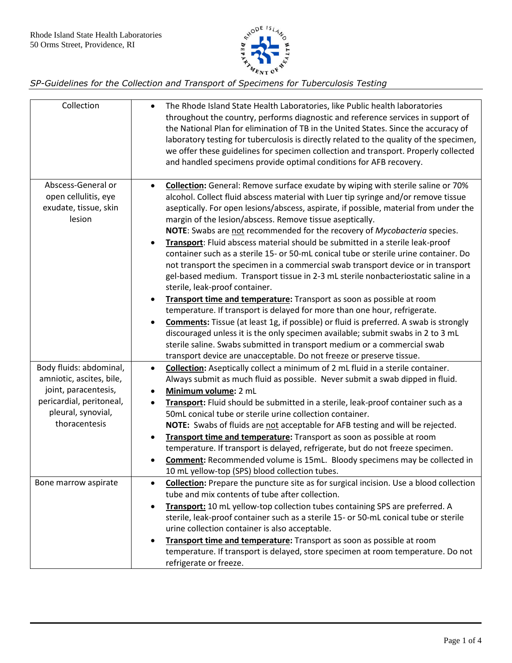

| Collection                                                                    | The Rhode Island State Health Laboratories, like Public health laboratories<br>$\bullet$<br>throughout the country, performs diagnostic and reference services in support of<br>the National Plan for elimination of TB in the United States. Since the accuracy of<br>laboratory testing for tuberculosis is directly related to the quality of the specimen,<br>we offer these guidelines for specimen collection and transport. Properly collected<br>and handled specimens provide optimal conditions for AFB recovery.                                                                                                                                                                                                                                                                                                                                                                                                                                                                                                                                                                                                                                                                                                                                            |
|-------------------------------------------------------------------------------|------------------------------------------------------------------------------------------------------------------------------------------------------------------------------------------------------------------------------------------------------------------------------------------------------------------------------------------------------------------------------------------------------------------------------------------------------------------------------------------------------------------------------------------------------------------------------------------------------------------------------------------------------------------------------------------------------------------------------------------------------------------------------------------------------------------------------------------------------------------------------------------------------------------------------------------------------------------------------------------------------------------------------------------------------------------------------------------------------------------------------------------------------------------------------------------------------------------------------------------------------------------------|
| Abscess-General or<br>open cellulitis, eye<br>exudate, tissue, skin<br>lesion | Collection: General: Remove surface exudate by wiping with sterile saline or 70%<br>$\bullet$<br>alcohol. Collect fluid abscess material with Luer tip syringe and/or remove tissue<br>aseptically. For open lesions/abscess, aspirate, if possible, material from under the<br>margin of the lesion/abscess. Remove tissue aseptically.<br>NOTE: Swabs are not recommended for the recovery of Mycobacteria species.<br>Transport: Fluid abscess material should be submitted in a sterile leak-proof<br>$\bullet$<br>container such as a sterile 15- or 50-mL conical tube or sterile urine container. Do<br>not transport the specimen in a commercial swab transport device or in transport<br>gel-based medium. Transport tissue in 2-3 mL sterile nonbacteriostatic saline in a<br>sterile, leak-proof container.<br>Transport time and temperature: Transport as soon as possible at room<br>$\bullet$<br>temperature. If transport is delayed for more than one hour, refrigerate.<br><b>Comments:</b> Tissue (at least 1g, if possible) or fluid is preferred. A swab is strongly<br>$\bullet$<br>discouraged unless it is the only specimen available; submit swabs in 2 to 3 mL<br>sterile saline. Swabs submitted in transport medium or a commercial swab |
| Body fluids: abdominal,                                                       | transport device are unacceptable. Do not freeze or preserve tissue.<br><b>Collection:</b> Aseptically collect a minimum of 2 mL fluid in a sterile container.<br>$\bullet$                                                                                                                                                                                                                                                                                                                                                                                                                                                                                                                                                                                                                                                                                                                                                                                                                                                                                                                                                                                                                                                                                            |
| amniotic, ascites, bile,<br>joint, paracentesis,                              | Always submit as much fluid as possible. Never submit a swab dipped in fluid.<br>Minimum volume: 2 mL<br>$\bullet$                                                                                                                                                                                                                                                                                                                                                                                                                                                                                                                                                                                                                                                                                                                                                                                                                                                                                                                                                                                                                                                                                                                                                     |
| pericardial, peritoneal,                                                      | Transport: Fluid should be submitted in a sterile, leak-proof container such as a<br>$\bullet$                                                                                                                                                                                                                                                                                                                                                                                                                                                                                                                                                                                                                                                                                                                                                                                                                                                                                                                                                                                                                                                                                                                                                                         |
| pleural, synovial,                                                            | 50mL conical tube or sterile urine collection container.                                                                                                                                                                                                                                                                                                                                                                                                                                                                                                                                                                                                                                                                                                                                                                                                                                                                                                                                                                                                                                                                                                                                                                                                               |
| thoracentesis                                                                 | NOTE: Swabs of fluids are not acceptable for AFB testing and will be rejected.                                                                                                                                                                                                                                                                                                                                                                                                                                                                                                                                                                                                                                                                                                                                                                                                                                                                                                                                                                                                                                                                                                                                                                                         |
|                                                                               | Transport time and temperature: Transport as soon as possible at room<br>$\bullet$<br>temperature. If transport is delayed, refrigerate, but do not freeze specimen.                                                                                                                                                                                                                                                                                                                                                                                                                                                                                                                                                                                                                                                                                                                                                                                                                                                                                                                                                                                                                                                                                                   |
|                                                                               | Comment: Recommended volume is 15mL. Bloody specimens may be collected in                                                                                                                                                                                                                                                                                                                                                                                                                                                                                                                                                                                                                                                                                                                                                                                                                                                                                                                                                                                                                                                                                                                                                                                              |
|                                                                               | 10 mL yellow-top (SPS) blood collection tubes.                                                                                                                                                                                                                                                                                                                                                                                                                                                                                                                                                                                                                                                                                                                                                                                                                                                                                                                                                                                                                                                                                                                                                                                                                         |
| Bone marrow aspirate                                                          | <b>Collection:</b> Prepare the puncture site as for surgical incision. Use a blood collection<br>$\bullet$<br>tube and mix contents of tube after collection.                                                                                                                                                                                                                                                                                                                                                                                                                                                                                                                                                                                                                                                                                                                                                                                                                                                                                                                                                                                                                                                                                                          |
|                                                                               | Transport: 10 mL yellow-top collection tubes containing SPS are preferred. A<br>$\bullet$                                                                                                                                                                                                                                                                                                                                                                                                                                                                                                                                                                                                                                                                                                                                                                                                                                                                                                                                                                                                                                                                                                                                                                              |
|                                                                               | sterile, leak-proof container such as a sterile 15- or 50-mL conical tube or sterile<br>urine collection container is also acceptable.                                                                                                                                                                                                                                                                                                                                                                                                                                                                                                                                                                                                                                                                                                                                                                                                                                                                                                                                                                                                                                                                                                                                 |
|                                                                               | Transport time and temperature: Transport as soon as possible at room<br>$\bullet$                                                                                                                                                                                                                                                                                                                                                                                                                                                                                                                                                                                                                                                                                                                                                                                                                                                                                                                                                                                                                                                                                                                                                                                     |
|                                                                               | temperature. If transport is delayed, store specimen at room temperature. Do not                                                                                                                                                                                                                                                                                                                                                                                                                                                                                                                                                                                                                                                                                                                                                                                                                                                                                                                                                                                                                                                                                                                                                                                       |
|                                                                               | refrigerate or freeze.                                                                                                                                                                                                                                                                                                                                                                                                                                                                                                                                                                                                                                                                                                                                                                                                                                                                                                                                                                                                                                                                                                                                                                                                                                                 |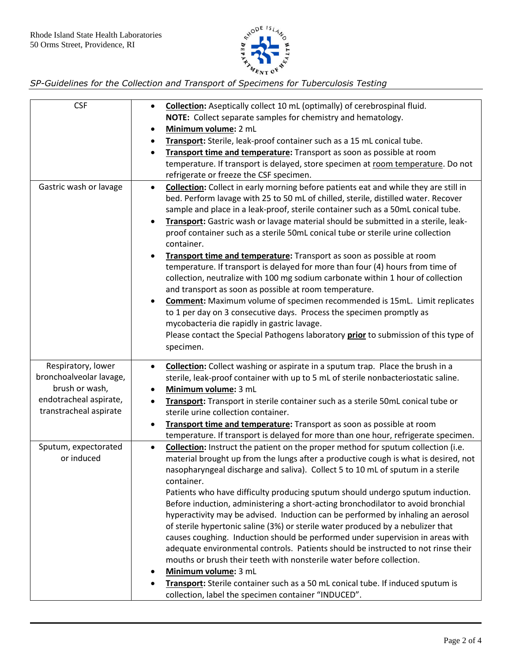

| <b>CSF</b>                                       | Collection: Aseptically collect 10 mL (optimally) of cerebrospinal fluid.<br>$\bullet$                                                                                                                                                                                                                                                                                                                                                                                                                                                                                                                                                                                                                                                                                                                                                                                                                                                                                                                                                                                                                                    |
|--------------------------------------------------|---------------------------------------------------------------------------------------------------------------------------------------------------------------------------------------------------------------------------------------------------------------------------------------------------------------------------------------------------------------------------------------------------------------------------------------------------------------------------------------------------------------------------------------------------------------------------------------------------------------------------------------------------------------------------------------------------------------------------------------------------------------------------------------------------------------------------------------------------------------------------------------------------------------------------------------------------------------------------------------------------------------------------------------------------------------------------------------------------------------------------|
|                                                  | NOTE: Collect separate samples for chemistry and hematology.                                                                                                                                                                                                                                                                                                                                                                                                                                                                                                                                                                                                                                                                                                                                                                                                                                                                                                                                                                                                                                                              |
|                                                  | Minimum volume: 2 mL<br>٠                                                                                                                                                                                                                                                                                                                                                                                                                                                                                                                                                                                                                                                                                                                                                                                                                                                                                                                                                                                                                                                                                                 |
|                                                  | Transport: Sterile, leak-proof container such as a 15 mL conical tube.<br>$\bullet$                                                                                                                                                                                                                                                                                                                                                                                                                                                                                                                                                                                                                                                                                                                                                                                                                                                                                                                                                                                                                                       |
|                                                  | Transport time and temperature: Transport as soon as possible at room<br>$\bullet$                                                                                                                                                                                                                                                                                                                                                                                                                                                                                                                                                                                                                                                                                                                                                                                                                                                                                                                                                                                                                                        |
|                                                  | temperature. If transport is delayed, store specimen at room temperature. Do not                                                                                                                                                                                                                                                                                                                                                                                                                                                                                                                                                                                                                                                                                                                                                                                                                                                                                                                                                                                                                                          |
|                                                  | refrigerate or freeze the CSF specimen.                                                                                                                                                                                                                                                                                                                                                                                                                                                                                                                                                                                                                                                                                                                                                                                                                                                                                                                                                                                                                                                                                   |
| Gastric wash or lavage                           | Collection: Collect in early morning before patients eat and while they are still in<br>$\bullet$<br>bed. Perform lavage with 25 to 50 mL of chilled, sterile, distilled water. Recover<br>sample and place in a leak-proof, sterile container such as a 50mL conical tube.<br>Transport: Gastric wash or lavage material should be submitted in a sterile, leak-<br>$\bullet$<br>proof container such as a sterile 50mL conical tube or sterile urine collection<br>container.<br>Transport time and temperature: Transport as soon as possible at room<br>$\bullet$<br>temperature. If transport is delayed for more than four (4) hours from time of<br>collection, neutralize with 100 mg sodium carbonate within 1 hour of collection<br>and transport as soon as possible at room temperature.<br>Comment: Maximum volume of specimen recommended is 15mL. Limit replicates<br>$\bullet$<br>to 1 per day on 3 consecutive days. Process the specimen promptly as<br>mycobacteria die rapidly in gastric lavage.<br>Please contact the Special Pathogens laboratory prior to submission of this type of<br>specimen. |
|                                                  |                                                                                                                                                                                                                                                                                                                                                                                                                                                                                                                                                                                                                                                                                                                                                                                                                                                                                                                                                                                                                                                                                                                           |
| Respiratory, lower                               | <b>Collection:</b> Collect washing or aspirate in a sputum trap. Place the brush in a<br>$\bullet$                                                                                                                                                                                                                                                                                                                                                                                                                                                                                                                                                                                                                                                                                                                                                                                                                                                                                                                                                                                                                        |
| bronchoalveolar lavage,                          | sterile, leak-proof container with up to 5 mL of sterile nonbacteriostatic saline.                                                                                                                                                                                                                                                                                                                                                                                                                                                                                                                                                                                                                                                                                                                                                                                                                                                                                                                                                                                                                                        |
| brush or wash,                                   | Minimum volume: 3 mL<br>٠                                                                                                                                                                                                                                                                                                                                                                                                                                                                                                                                                                                                                                                                                                                                                                                                                                                                                                                                                                                                                                                                                                 |
| endotracheal aspirate,<br>transtracheal aspirate | Transport: Transport in sterile container such as a sterile 50mL conical tube or<br>$\bullet$<br>sterile urine collection container.                                                                                                                                                                                                                                                                                                                                                                                                                                                                                                                                                                                                                                                                                                                                                                                                                                                                                                                                                                                      |
|                                                  | Transport time and temperature: Transport as soon as possible at room<br>$\bullet$                                                                                                                                                                                                                                                                                                                                                                                                                                                                                                                                                                                                                                                                                                                                                                                                                                                                                                                                                                                                                                        |
|                                                  | temperature. If transport is delayed for more than one hour, refrigerate specimen.                                                                                                                                                                                                                                                                                                                                                                                                                                                                                                                                                                                                                                                                                                                                                                                                                                                                                                                                                                                                                                        |
| Sputum, expectorated<br>or induced               | Collection: Instruct the patient on the proper method for sputum collection (i.e.<br>$\bullet$<br>material brought up from the lungs after a productive cough is what is desired, not<br>nasopharyngeal discharge and saliva). Collect 5 to 10 mL of sputum in a sterile<br>container.                                                                                                                                                                                                                                                                                                                                                                                                                                                                                                                                                                                                                                                                                                                                                                                                                                    |
|                                                  | Patients who have difficulty producing sputum should undergo sputum induction.<br>Before induction, administering a short-acting bronchodilator to avoid bronchial<br>hyperactivity may be advised. Induction can be performed by inhaling an aerosol<br>of sterile hypertonic saline (3%) or sterile water produced by a nebulizer that<br>causes coughing. Induction should be performed under supervision in areas with<br>adequate environmental controls. Patients should be instructed to not rinse their<br>mouths or brush their teeth with nonsterile water before collection.<br>Minimum volume: 3 mL<br>٠<br>Transport: Sterile container such as a 50 mL conical tube. If induced sputum is<br>$\bullet$                                                                                                                                                                                                                                                                                                                                                                                                      |
|                                                  | collection, label the specimen container "INDUCED".                                                                                                                                                                                                                                                                                                                                                                                                                                                                                                                                                                                                                                                                                                                                                                                                                                                                                                                                                                                                                                                                       |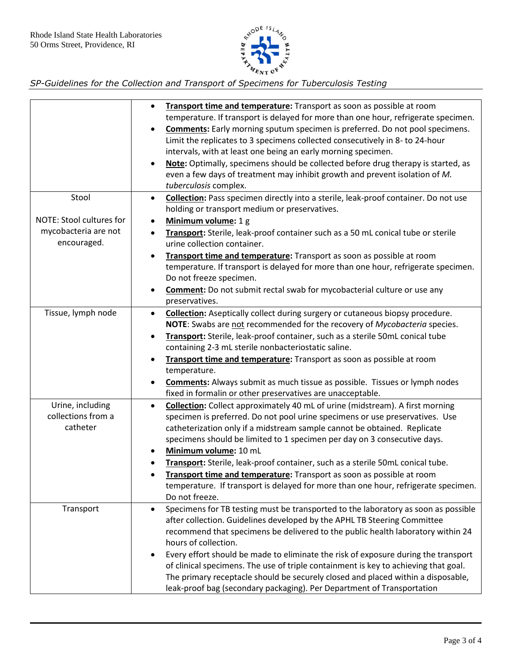

|                                     | Transport time and temperature: Transport as soon as possible at room<br>$\bullet$<br>temperature. If transport is delayed for more than one hour, refrigerate specimen.<br>Comments: Early morning sputum specimen is preferred. Do not pool specimens.<br>$\bullet$<br>Limit the replicates to 3 specimens collected consecutively in 8- to 24-hour<br>intervals, with at least one being an early morning specimen.<br>Note: Optimally, specimens should be collected before drug therapy is started, as<br>$\bullet$<br>even a few days of treatment may inhibit growth and prevent isolation of M.<br>tuberculosis complex. |
|-------------------------------------|----------------------------------------------------------------------------------------------------------------------------------------------------------------------------------------------------------------------------------------------------------------------------------------------------------------------------------------------------------------------------------------------------------------------------------------------------------------------------------------------------------------------------------------------------------------------------------------------------------------------------------|
| Stool                               | <b>Collection:</b> Pass specimen directly into a sterile, leak-proof container. Do not use<br>$\bullet$                                                                                                                                                                                                                                                                                                                                                                                                                                                                                                                          |
|                                     | holding or transport medium or preservatives.                                                                                                                                                                                                                                                                                                                                                                                                                                                                                                                                                                                    |
| NOTE: Stool cultures for            | Minimum volume: 1 g<br>$\bullet$                                                                                                                                                                                                                                                                                                                                                                                                                                                                                                                                                                                                 |
| mycobacteria are not<br>encouraged. | Transport: Sterile, leak-proof container such as a 50 mL conical tube or sterile<br>$\bullet$<br>urine collection container.                                                                                                                                                                                                                                                                                                                                                                                                                                                                                                     |
|                                     | Transport time and temperature: Transport as soon as possible at room<br>$\bullet$                                                                                                                                                                                                                                                                                                                                                                                                                                                                                                                                               |
|                                     | temperature. If transport is delayed for more than one hour, refrigerate specimen.                                                                                                                                                                                                                                                                                                                                                                                                                                                                                                                                               |
|                                     | Do not freeze specimen.                                                                                                                                                                                                                                                                                                                                                                                                                                                                                                                                                                                                          |
|                                     | <b>Comment:</b> Do not submit rectal swab for mycobacterial culture or use any<br>$\bullet$                                                                                                                                                                                                                                                                                                                                                                                                                                                                                                                                      |
|                                     | preservatives.                                                                                                                                                                                                                                                                                                                                                                                                                                                                                                                                                                                                                   |
| Tissue, lymph node                  | <b>Collection:</b> Aseptically collect during surgery or cutaneous biopsy procedure.<br>$\bullet$                                                                                                                                                                                                                                                                                                                                                                                                                                                                                                                                |
|                                     | NOTE: Swabs are not recommended for the recovery of Mycobacteria species.                                                                                                                                                                                                                                                                                                                                                                                                                                                                                                                                                        |
|                                     | Transport: Sterile, leak-proof container, such as a sterile 50mL conical tube<br>$\bullet$                                                                                                                                                                                                                                                                                                                                                                                                                                                                                                                                       |
|                                     | containing 2-3 mL sterile nonbacteriostatic saline.                                                                                                                                                                                                                                                                                                                                                                                                                                                                                                                                                                              |
|                                     | Transport time and temperature: Transport as soon as possible at room<br>$\bullet$<br>temperature.                                                                                                                                                                                                                                                                                                                                                                                                                                                                                                                               |
|                                     | <b>Comments:</b> Always submit as much tissue as possible. Tissues or lymph nodes<br>٠                                                                                                                                                                                                                                                                                                                                                                                                                                                                                                                                           |
|                                     | fixed in formalin or other preservatives are unacceptable.                                                                                                                                                                                                                                                                                                                                                                                                                                                                                                                                                                       |
| Urine, including                    | <b>Collection:</b> Collect approximately 40 mL of urine (midstream). A first morning<br>$\bullet$                                                                                                                                                                                                                                                                                                                                                                                                                                                                                                                                |
| collections from a                  | specimen is preferred. Do not pool urine specimens or use preservatives. Use                                                                                                                                                                                                                                                                                                                                                                                                                                                                                                                                                     |
| catheter                            | catheterization only if a midstream sample cannot be obtained. Replicate                                                                                                                                                                                                                                                                                                                                                                                                                                                                                                                                                         |
|                                     | specimens should be limited to 1 specimen per day on 3 consecutive days.                                                                                                                                                                                                                                                                                                                                                                                                                                                                                                                                                         |
|                                     | Minimum volume: 10 mL                                                                                                                                                                                                                                                                                                                                                                                                                                                                                                                                                                                                            |
|                                     | Transport: Sterile, leak-proof container, such as a sterile 50mL conical tube.                                                                                                                                                                                                                                                                                                                                                                                                                                                                                                                                                   |
|                                     | Transport time and temperature: Transport as soon as possible at room                                                                                                                                                                                                                                                                                                                                                                                                                                                                                                                                                            |
|                                     | temperature. If transport is delayed for more than one hour, refrigerate specimen.                                                                                                                                                                                                                                                                                                                                                                                                                                                                                                                                               |
|                                     | Do not freeze.                                                                                                                                                                                                                                                                                                                                                                                                                                                                                                                                                                                                                   |
| Transport                           | Specimens for TB testing must be transported to the laboratory as soon as possible<br>$\bullet$                                                                                                                                                                                                                                                                                                                                                                                                                                                                                                                                  |
|                                     | after collection. Guidelines developed by the APHL TB Steering Committee                                                                                                                                                                                                                                                                                                                                                                                                                                                                                                                                                         |
|                                     | recommend that specimens be delivered to the public health laboratory within 24                                                                                                                                                                                                                                                                                                                                                                                                                                                                                                                                                  |
|                                     | hours of collection.                                                                                                                                                                                                                                                                                                                                                                                                                                                                                                                                                                                                             |
|                                     | Every effort should be made to eliminate the risk of exposure during the transport<br>$\bullet$                                                                                                                                                                                                                                                                                                                                                                                                                                                                                                                                  |
|                                     | of clinical specimens. The use of triple containment is key to achieving that goal.<br>The primary receptacle should be securely closed and placed within a disposable,                                                                                                                                                                                                                                                                                                                                                                                                                                                          |
|                                     | leak-proof bag (secondary packaging). Per Department of Transportation                                                                                                                                                                                                                                                                                                                                                                                                                                                                                                                                                           |
|                                     |                                                                                                                                                                                                                                                                                                                                                                                                                                                                                                                                                                                                                                  |